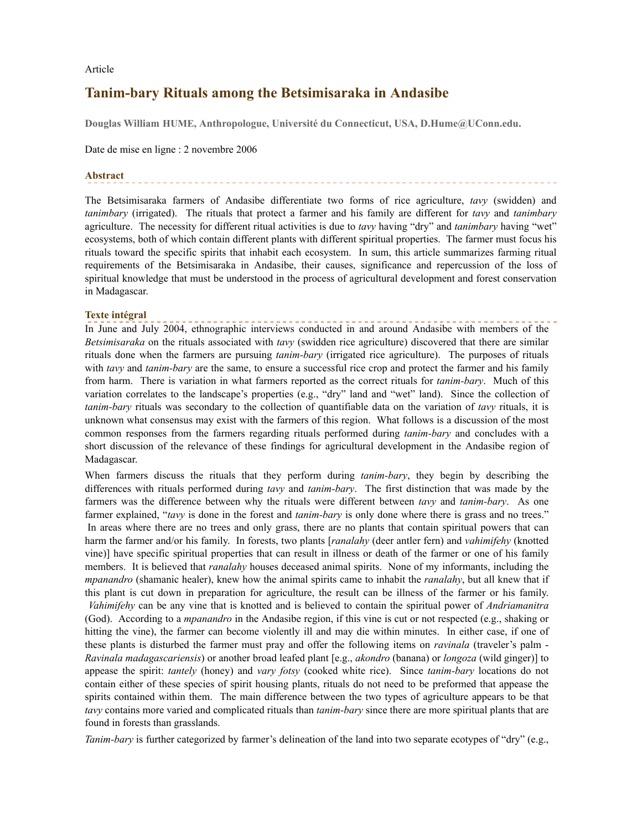Article

# **Tanim-bary Rituals among the Betsimisaraka in Andasibe**

**Douglas William HUME, Anthropologue, Université du Connecticut, USA, D.Hume@UConn.edu.**

Date de mise en ligne : 2 novembre 2006

### **Abstract**

The Betsimisaraka farmers of Andasibe differentiate two forms of rice agriculture, *tavy* (swidden) and *tanimbary* (irrigated). The rituals that protect a farmer and his family are different for *tavy* and *tanimbary* agriculture. The necessity for different ritual activities is due to *tavy* having "dry" and *tanimbary* having "wet" ecosystems, both of which contain different plants with different spiritual properties. The farmer must focus his rituals toward the specific spirits that inhabit each ecosystem. In sum, this article summarizes farming ritual requirements of the Betsimisaraka in Andasibe, their causes, significance and repercussion of the loss of spiritual knowledge that must be understood in the process of agricultural development and forest conservation in Madagascar.

## **Texte intégral**

In June and July 2004, ethnographic interviews conducted in and around Andasibe with members of the *Betsimisaraka* on the rituals associated with *tavy* (swidden rice agriculture) discovered that there are similar rituals done when the farmers are pursuing *tanim-bary* (irrigated rice agriculture). The purposes of rituals with *tavy* and *tanim-bary* are the same, to ensure a successful rice crop and protect the farmer and his family from harm. There is variation in what farmers reported as the correct rituals for *tanim-bary*. Much of this variation correlates to the landscape's properties (e.g., "dry" land and "wet" land). Since the collection of *tanim-bary* rituals was secondary to the collection of quantifiable data on the variation of *tavy* rituals, it is unknown what consensus may exist with the farmers of this region. What follows is a discussion of the most common responses from the farmers regarding rituals performed during *tanim-bary* and concludes with a short discussion of the relevance of these findings for agricultural development in the Andasibe region of Madagascar.

When farmers discuss the rituals that they perform during *tanim-bary*, they begin by describing the differences with rituals performed during *tavy* and *tanim-bary*. The first distinction that was made by the farmers was the difference between why the rituals were different between *tavy* and *tanim-bary*. As one farmer explained, "*tavy* is done in the forest and *tanim-bary* is only done where there is grass and no trees." In areas where there are no trees and only grass, there are no plants that contain spiritual powers that can harm the farmer and/or his family. In forests, two plants [*ranalahy* (deer antler fern) and *vahimifehy* (knotted vine)] have specific spiritual properties that can result in illness or death of the farmer or one of his family members. It is believed that *ranalahy* houses deceased animal spirits. None of my informants, including the *mpanandro* (shamanic healer), knew how the animal spirits came to inhabit the *ranalahy*, but all knew that if this plant is cut down in preparation for agriculture, the result can be illness of the farmer or his family. *Vahimifehy* can be any vine that is knotted and is believed to contain the spiritual power of *Andriamanitra* (God). According to a *mpanandro* in the Andasibe region, if this vine is cut or not respected (e.g., shaking or hitting the vine), the farmer can become violently ill and may die within minutes. In either case, if one of these plants is disturbed the farmer must pray and offer the following items on *ravinala* (traveler's palm - *Ravinala madagascariensis*) or another broad leafed plant [e.g., *akondro* (banana) or *longoza* (wild ginger)] to appease the spirit: *tantely* (honey) and *vary fotsy* (cooked white rice). Since *tanim-bary* locations do not contain either of these species of spirit housing plants, rituals do not need to be preformed that appease the spirits contained within them. The main difference between the two types of agriculture appears to be that *tavy* contains more varied and complicated rituals than *tanim-bary* since there are more spiritual plants that are found in forests than grasslands.

*Tanim-bary* is further categorized by farmer's delineation of the land into two separate ecotypes of "dry" (e.g.,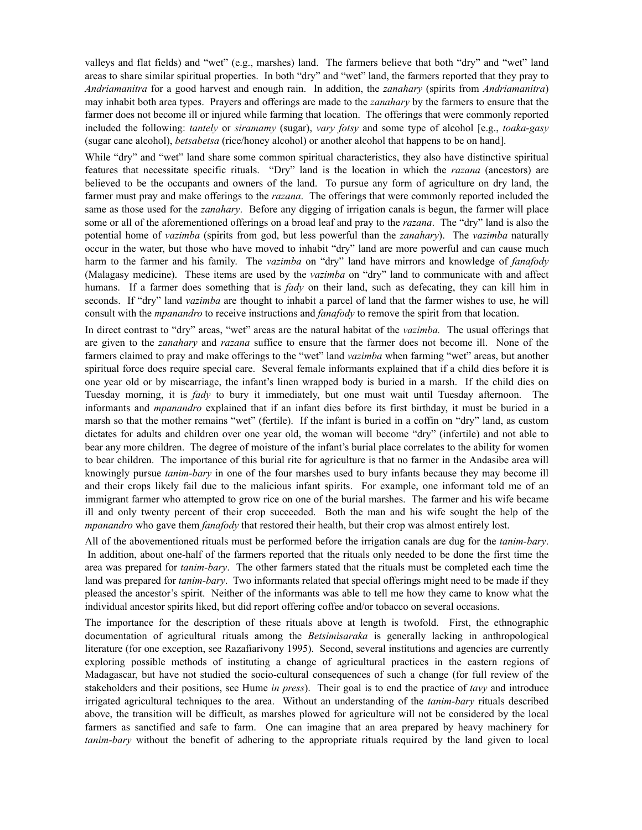valleys and flat fields) and "wet" (e.g., marshes) land. The farmers believe that both "dry" and "wet" land areas to share similar spiritual properties. In both "dry" and "wet" land, the farmers reported that they pray to *Andriamanitra* for a good harvest and enough rain. In addition, the *zanahary* (spirits from *Andriamanitra*) may inhabit both area types. Prayers and offerings are made to the *zanahary* by the farmers to ensure that the farmer does not become ill or injured while farming that location. The offerings that were commonly reported included the following: *tantely* or *siramamy* (sugar), *vary fotsy* and some type of alcohol [e.g., *toaka-gasy* (sugar cane alcohol), *betsabetsa* (rice/honey alcohol) or another alcohol that happens to be on hand].

While "dry" and "wet" land share some common spiritual characteristics, they also have distinctive spiritual features that necessitate specific rituals. "Dry" land is the location in which the *razana* (ancestors) are believed to be the occupants and owners of the land. To pursue any form of agriculture on dry land, the farmer must pray and make offerings to the *razana*. The offerings that were commonly reported included the same as those used for the *zanahary*. Before any digging of irrigation canals is begun, the farmer will place some or all of the aforementioned offerings on a broad leaf and pray to the *razana*. The "dry" land is also the potential home of *vazimba* (spirits from god, but less powerful than the *zanahary*). The *vazimba* naturally occur in the water, but those who have moved to inhabit "dry" land are more powerful and can cause much harm to the farmer and his family. The *vazimba* on "dry" land have mirrors and knowledge of *fanafody* (Malagasy medicine). These items are used by the *vazimba* on "dry" land to communicate with and affect humans. If a farmer does something that is *fady* on their land, such as defecating, they can kill him in seconds. If "dry" land *vazimba* are thought to inhabit a parcel of land that the farmer wishes to use, he will consult with the *mpanandro* to receive instructions and *fanafody* to remove the spirit from that location.

In direct contrast to "dry" areas, "wet" areas are the natural habitat of the *vazimba.* The usual offerings that are given to the *zanahary* and *razana* suffice to ensure that the farmer does not become ill. None of the farmers claimed to pray and make offerings to the "wet" land *vazimba* when farming "wet" areas, but another spiritual force does require special care. Several female informants explained that if a child dies before it is one year old or by miscarriage, the infant's linen wrapped body is buried in a marsh. If the child dies on Tuesday morning, it is *fady* to bury it immediately, but one must wait until Tuesday afternoon. The informants and *mpanandro* explained that if an infant dies before its first birthday, it must be buried in a marsh so that the mother remains "wet" (fertile). If the infant is buried in a coffin on "dry" land, as custom dictates for adults and children over one year old, the woman will become "dry" (infertile) and not able to bear any more children. The degree of moisture of the infant's burial place correlates to the ability for women to bear children. The importance of this burial rite for agriculture is that no farmer in the Andasibe area will knowingly pursue *tanim-bary* in one of the four marshes used to bury infants because they may become ill and their crops likely fail due to the malicious infant spirits. For example, one informant told me of an immigrant farmer who attempted to grow rice on one of the burial marshes. The farmer and his wife became ill and only twenty percent of their crop succeeded. Both the man and his wife sought the help of the *mpanandro* who gave them *fanafody* that restored their health, but their crop was almost entirely lost.

All of the abovementioned rituals must be performed before the irrigation canals are dug for the *tanim-bary*. In addition, about one-half of the farmers reported that the rituals only needed to be done the first time the area was prepared for *tanim-bary*. The other farmers stated that the rituals must be completed each time the land was prepared for *tanim-bary*. Two informants related that special offerings might need to be made if they pleased the ancestor's spirit. Neither of the informants was able to tell me how they came to know what the individual ancestor spirits liked, but did report offering coffee and/or tobacco on several occasions.

The importance for the description of these rituals above at length is twofold. First, the ethnographic documentation of agricultural rituals among the *Betsimisaraka* is generally lacking in anthropological literature (for one exception, see Razafiarivony 1995). Second, several institutions and agencies are currently exploring possible methods of instituting a change of agricultural practices in the eastern regions of Madagascar, but have not studied the socio-cultural consequences of such a change (for full review of the stakeholders and their positions, see Hume *in press*). Their goal is to end the practice of *tavy* and introduce irrigated agricultural techniques to the area. Without an understanding of the *tanim-bary* rituals described above, the transition will be difficult, as marshes plowed for agriculture will not be considered by the local farmers as sanctified and safe to farm. One can imagine that an area prepared by heavy machinery for *tanim-bary* without the benefit of adhering to the appropriate rituals required by the land given to local